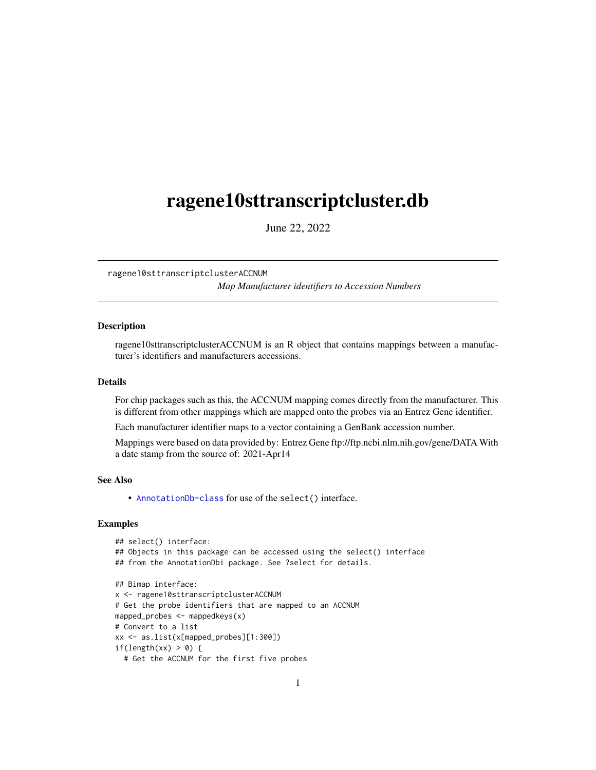# <span id="page-0-1"></span><span id="page-0-0"></span>ragene10sttranscriptcluster.db

June 22, 2022

ragene10sttranscriptclusterACCNUM

*Map Manufacturer identifiers to Accession Numbers*

# **Description**

ragene10sttranscriptclusterACCNUM is an R object that contains mappings between a manufacturer's identifiers and manufacturers accessions.

#### Details

For chip packages such as this, the ACCNUM mapping comes directly from the manufacturer. This is different from other mappings which are mapped onto the probes via an Entrez Gene identifier.

Each manufacturer identifier maps to a vector containing a GenBank accession number.

Mappings were based on data provided by: Entrez Gene ftp://ftp.ncbi.nlm.nih.gov/gene/DATA With a date stamp from the source of: 2021-Apr14

# See Also

• AnnotationDb-class for use of the select() interface.

```
## select() interface:
## Objects in this package can be accessed using the select() interface
## from the AnnotationDbi package. See ?select for details.
## Bimap interface:
x <- ragene10sttranscriptclusterACCNUM
# Get the probe identifiers that are mapped to an ACCNUM
mapped_probes <- mappedkeys(x)
# Convert to a list
xx <- as.list(x[mapped_probes][1:300])
if(length(xx) > 0) {
 # Get the ACCNUM for the first five probes
```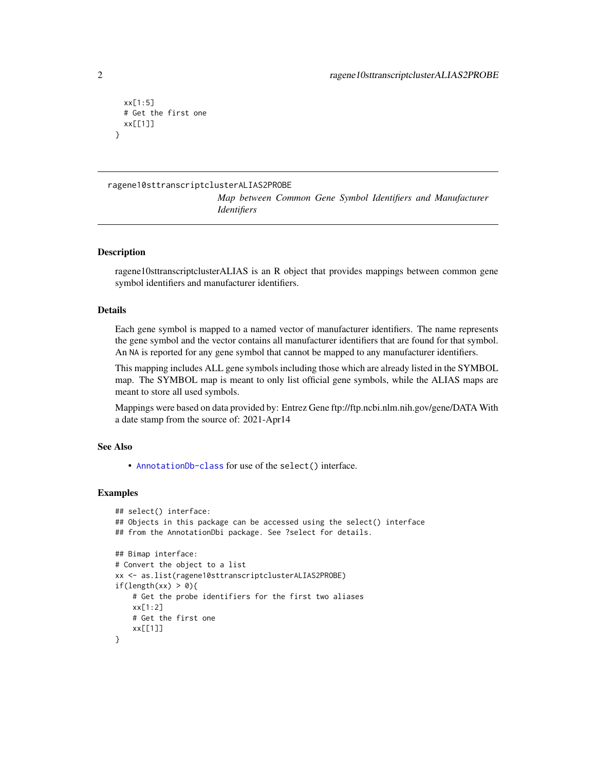```
xx[1:5]
 # Get the first one
 xx[[1]]
}
```
# ragene10sttranscriptclusterALIAS2PROBE

*Map between Common Gene Symbol Identifiers and Manufacturer Identifiers*

# **Description**

ragene10sttranscriptclusterALIAS is an R object that provides mappings between common gene symbol identifiers and manufacturer identifiers.

#### Details

Each gene symbol is mapped to a named vector of manufacturer identifiers. The name represents the gene symbol and the vector contains all manufacturer identifiers that are found for that symbol. An NA is reported for any gene symbol that cannot be mapped to any manufacturer identifiers.

This mapping includes ALL gene symbols including those which are already listed in the SYMBOL map. The SYMBOL map is meant to only list official gene symbols, while the ALIAS maps are meant to store all used symbols.

Mappings were based on data provided by: Entrez Gene ftp://ftp.ncbi.nlm.nih.gov/gene/DATA With a date stamp from the source of: 2021-Apr14

# See Also

• [AnnotationDb-class](#page-0-0) for use of the select() interface.

```
## select() interface:
## Objects in this package can be accessed using the select() interface
## from the AnnotationDbi package. See ?select for details.
## Bimap interface:
# Convert the object to a list
xx <- as.list(ragene10sttranscriptclusterALIAS2PROBE)
if(length(xx) > 0){
    # Get the probe identifiers for the first two aliases
   xx[1:2]
   # Get the first one
    xx[[1]]
}
```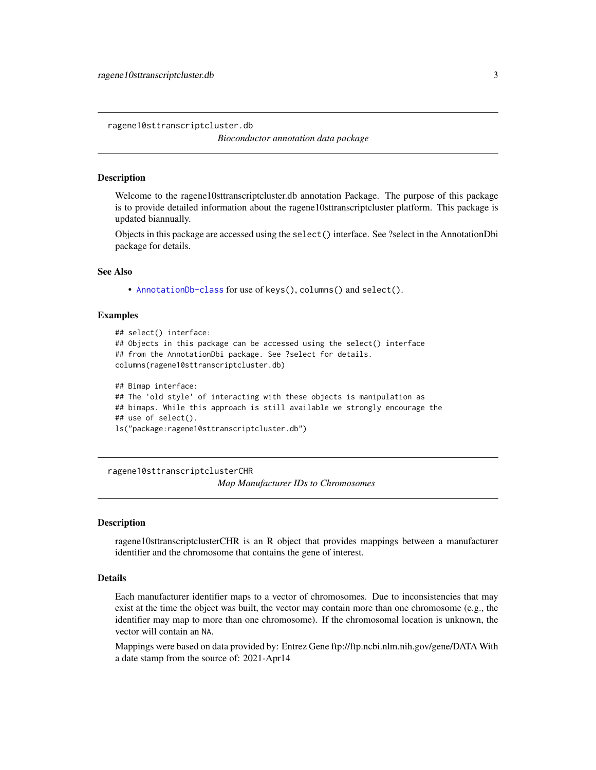<span id="page-2-0"></span>ragene10sttranscriptcluster.db

*Bioconductor annotation data package*

#### **Description**

Welcome to the ragene10sttranscriptcluster.db annotation Package. The purpose of this package is to provide detailed information about the ragene10sttranscriptcluster platform. This package is updated biannually.

Objects in this package are accessed using the select() interface. See ?select in the AnnotationDbi package for details.

#### See Also

• [AnnotationDb-class](#page-0-0) for use of keys(), columns() and select().

#### Examples

```
## select() interface:
## Objects in this package can be accessed using the select() interface
## from the AnnotationDbi package. See ?select for details.
columns(ragene10sttranscriptcluster.db)
## Bimap interface:
## The 'old style' of interacting with these objects is manipulation as
## bimaps. While this approach is still available we strongly encourage the
```

```
## use of select().
```

```
ls("package:ragene10sttranscriptcluster.db")
```
ragene10sttranscriptclusterCHR

*Map Manufacturer IDs to Chromosomes*

#### Description

ragene10sttranscriptclusterCHR is an R object that provides mappings between a manufacturer identifier and the chromosome that contains the gene of interest.

# Details

Each manufacturer identifier maps to a vector of chromosomes. Due to inconsistencies that may exist at the time the object was built, the vector may contain more than one chromosome (e.g., the identifier may map to more than one chromosome). If the chromosomal location is unknown, the vector will contain an NA.

Mappings were based on data provided by: Entrez Gene ftp://ftp.ncbi.nlm.nih.gov/gene/DATA With a date stamp from the source of: 2021-Apr14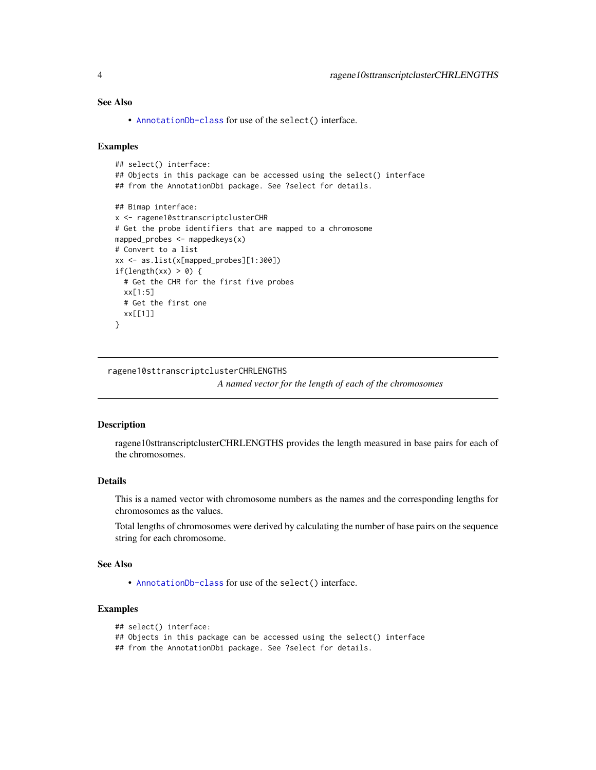# <span id="page-3-0"></span>See Also

• [AnnotationDb-class](#page-0-0) for use of the select() interface.

#### Examples

```
## select() interface:
## Objects in this package can be accessed using the select() interface
## from the AnnotationDbi package. See ?select for details.
## Bimap interface:
x <- ragene10sttranscriptclusterCHR
# Get the probe identifiers that are mapped to a chromosome
mapped_probes <- mappedkeys(x)
# Convert to a list
xx <- as.list(x[mapped_probes][1:300])
if(length(xx) > 0) {
  # Get the CHR for the first five probes
  xx[1:5]
  # Get the first one
  xx[[1]]
}
```
ragene10sttranscriptclusterCHRLENGTHS

*A named vector for the length of each of the chromosomes*

#### Description

ragene10sttranscriptclusterCHRLENGTHS provides the length measured in base pairs for each of the chromosomes.

# Details

This is a named vector with chromosome numbers as the names and the corresponding lengths for chromosomes as the values.

Total lengths of chromosomes were derived by calculating the number of base pairs on the sequence string for each chromosome.

#### See Also

• [AnnotationDb-class](#page-0-0) for use of the select() interface.

# Examples

```
## select() interface:
```

```
## Objects in this package can be accessed using the select() interface
```
## from the AnnotationDbi package. See ?select for details.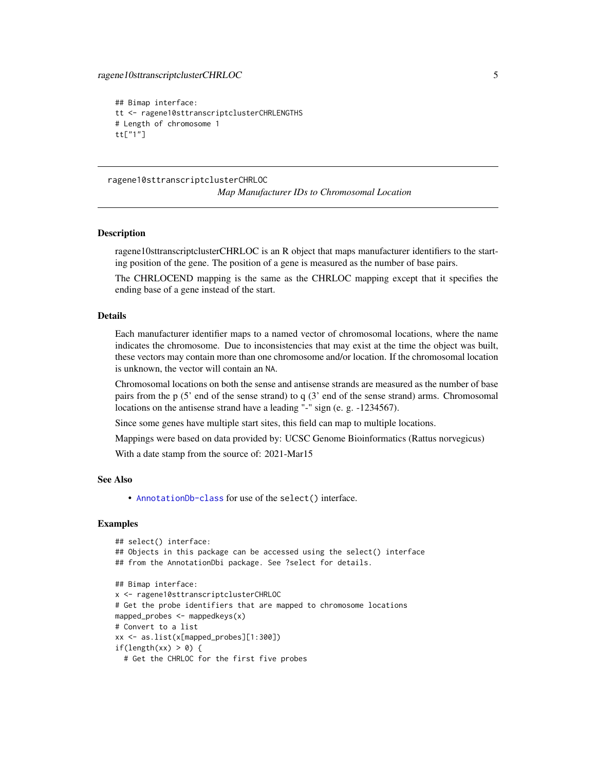```
## Bimap interface:
tt <- ragene10sttranscriptclusterCHRLENGTHS
# Length of chromosome 1
tt["1"]
```
ragene10sttranscriptclusterCHRLOC *Map Manufacturer IDs to Chromosomal Location*

#### **Description**

ragene10sttranscriptclusterCHRLOC is an R object that maps manufacturer identifiers to the starting position of the gene. The position of a gene is measured as the number of base pairs.

The CHRLOCEND mapping is the same as the CHRLOC mapping except that it specifies the ending base of a gene instead of the start.

# Details

Each manufacturer identifier maps to a named vector of chromosomal locations, where the name indicates the chromosome. Due to inconsistencies that may exist at the time the object was built, these vectors may contain more than one chromosome and/or location. If the chromosomal location is unknown, the vector will contain an NA.

Chromosomal locations on both the sense and antisense strands are measured as the number of base pairs from the p (5' end of the sense strand) to q (3' end of the sense strand) arms. Chromosomal locations on the antisense strand have a leading "-" sign (e. g. -1234567).

Since some genes have multiple start sites, this field can map to multiple locations.

Mappings were based on data provided by: UCSC Genome Bioinformatics (Rattus norvegicus)

With a date stamp from the source of: 2021-Mar15

#### See Also

• [AnnotationDb-class](#page-0-0) for use of the select() interface.

```
## select() interface:
## Objects in this package can be accessed using the select() interface
## from the AnnotationDbi package. See ?select for details.
## Bimap interface:
x <- ragene10sttranscriptclusterCHRLOC
# Get the probe identifiers that are mapped to chromosome locations
mapped_probes <- mappedkeys(x)
# Convert to a list
xx <- as.list(x[mapped_probes][1:300])
if(length(xx) > 0) {
 # Get the CHRLOC for the first five probes
```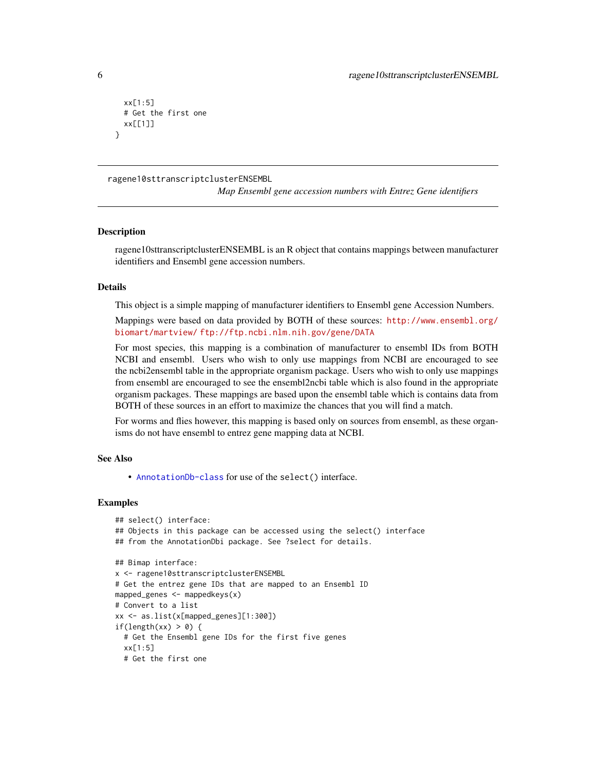```
xx[1:5]
 # Get the first one
 xx[[1]]
}
```
ragene10sttranscriptclusterENSEMBL

*Map Ensembl gene accession numbers with Entrez Gene identifiers*

#### **Description**

ragene10sttranscriptclusterENSEMBL is an R object that contains mappings between manufacturer identifiers and Ensembl gene accession numbers.

#### Details

This object is a simple mapping of manufacturer identifiers to Ensembl gene Accession Numbers.

Mappings were based on data provided by BOTH of these sources: [http://www.ensembl.org/](http://www.ensembl.org/biomart/martview/) [biomart/martview/](http://www.ensembl.org/biomart/martview/) <ftp://ftp.ncbi.nlm.nih.gov/gene/DATA>

For most species, this mapping is a combination of manufacturer to ensembl IDs from BOTH NCBI and ensembl. Users who wish to only use mappings from NCBI are encouraged to see the ncbi2ensembl table in the appropriate organism package. Users who wish to only use mappings from ensembl are encouraged to see the ensembl2ncbi table which is also found in the appropriate organism packages. These mappings are based upon the ensembl table which is contains data from BOTH of these sources in an effort to maximize the chances that you will find a match.

For worms and flies however, this mapping is based only on sources from ensembl, as these organisms do not have ensembl to entrez gene mapping data at NCBI.

#### See Also

• [AnnotationDb-class](#page-0-0) for use of the select() interface.

```
## select() interface:
## Objects in this package can be accessed using the select() interface
## from the AnnotationDbi package. See ?select for details.
## Bimap interface:
x <- ragene10sttranscriptclusterENSEMBL
# Get the entrez gene IDs that are mapped to an Ensembl ID
mapped_genes <- mappedkeys(x)
# Convert to a list
xx <- as.list(x[mapped_genes][1:300])
if(length(xx) > 0) {
 # Get the Ensembl gene IDs for the first five genes
 xx[1:5]
 # Get the first one
```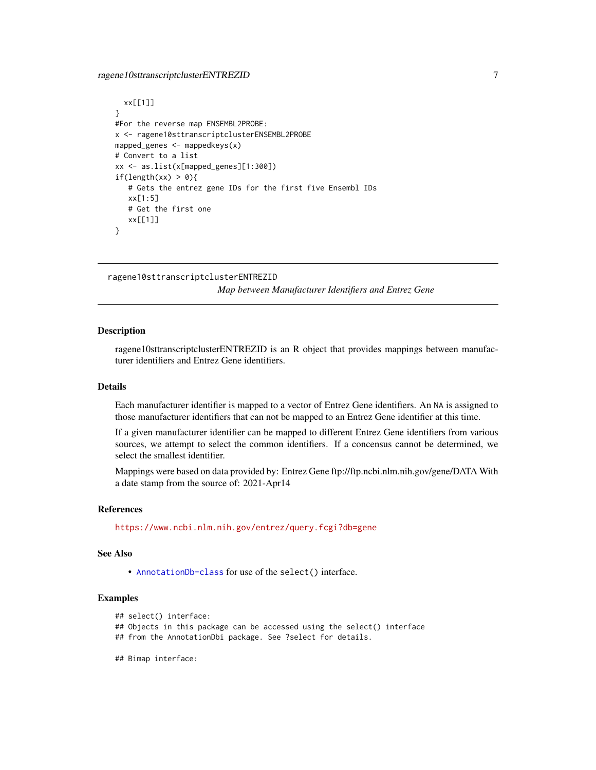# <span id="page-6-0"></span>ragene10sttranscriptclusterENTREZID 7

```
xx[[1]]
}
#For the reverse map ENSEMBL2PROBE:
x <- ragene10sttranscriptclusterENSEMBL2PROBE
mapped_genes <- mappedkeys(x)
# Convert to a list
xx <- as.list(x[mapped_genes][1:300])
if(length(xx) > 0){
   # Gets the entrez gene IDs for the first five Ensembl IDs
   xx[1:5]
   # Get the first one
   xx[[1]]
}
```

```
ragene10sttranscriptclusterENTREZID
```
*Map between Manufacturer Identifiers and Entrez Gene*

#### Description

ragene10sttranscriptclusterENTREZID is an R object that provides mappings between manufacturer identifiers and Entrez Gene identifiers.

# Details

Each manufacturer identifier is mapped to a vector of Entrez Gene identifiers. An NA is assigned to those manufacturer identifiers that can not be mapped to an Entrez Gene identifier at this time.

If a given manufacturer identifier can be mapped to different Entrez Gene identifiers from various sources, we attempt to select the common identifiers. If a concensus cannot be determined, we select the smallest identifier.

Mappings were based on data provided by: Entrez Gene ftp://ftp.ncbi.nlm.nih.gov/gene/DATA With a date stamp from the source of: 2021-Apr14

#### References

<https://www.ncbi.nlm.nih.gov/entrez/query.fcgi?db=gene>

#### See Also

• [AnnotationDb-class](#page-0-0) for use of the select() interface.

```
## select() interface:
```
- ## Objects in this package can be accessed using the select() interface
- ## from the AnnotationDbi package. See ?select for details.
- ## Bimap interface: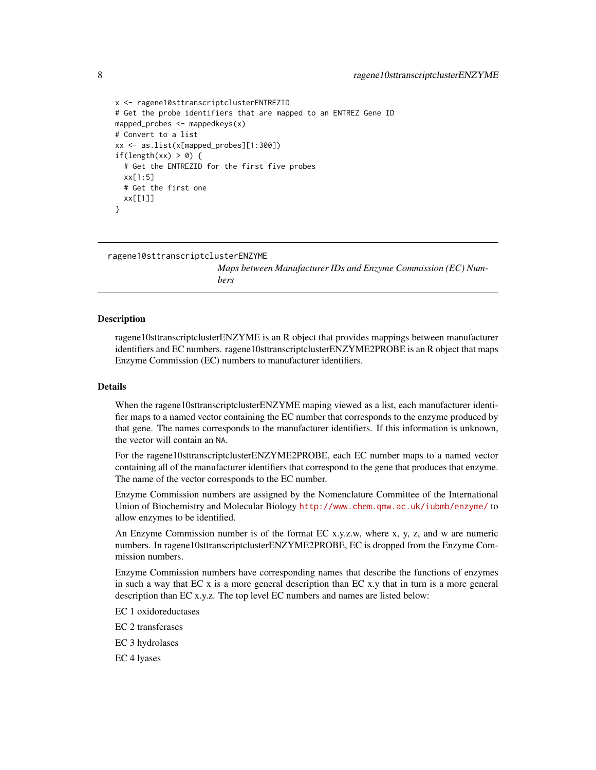```
x <- ragene10sttranscriptclusterENTREZID
# Get the probe identifiers that are mapped to an ENTREZ Gene ID
mapped_probes <- mappedkeys(x)
# Convert to a list
xx <- as.list(x[mapped_probes][1:300])
if(length(xx) > 0) {
 # Get the ENTREZID for the first five probes
 xx[1:5]
 # Get the first one
 xx[[1]]
}
```
ragene10sttranscriptclusterENZYME

*Maps between Manufacturer IDs and Enzyme Commission (EC) Numbers*

#### Description

ragene10sttranscriptclusterENZYME is an R object that provides mappings between manufacturer identifiers and EC numbers. ragene10sttranscriptclusterENZYME2PROBE is an R object that maps Enzyme Commission (EC) numbers to manufacturer identifiers.

#### Details

When the ragene10sttranscriptclusterENZYME maping viewed as a list, each manufacturer identifier maps to a named vector containing the EC number that corresponds to the enzyme produced by that gene. The names corresponds to the manufacturer identifiers. If this information is unknown, the vector will contain an NA.

For the ragene10sttranscriptclusterENZYME2PROBE, each EC number maps to a named vector containing all of the manufacturer identifiers that correspond to the gene that produces that enzyme. The name of the vector corresponds to the EC number.

Enzyme Commission numbers are assigned by the Nomenclature Committee of the International Union of Biochemistry and Molecular Biology <http://www.chem.qmw.ac.uk/iubmb/enzyme/> to allow enzymes to be identified.

An Enzyme Commission number is of the format EC x.y.z.w, where x, y, z, and w are numeric numbers. In ragene10sttranscriptclusterENZYME2PROBE, EC is dropped from the Enzyme Commission numbers.

Enzyme Commission numbers have corresponding names that describe the functions of enzymes in such a way that  $ECx$  is a more general description than  $ECx$ , that in turn is a more general description than EC x.y.z. The top level EC numbers and names are listed below:

EC 1 oxidoreductases

EC 2 transferases

EC 3 hydrolases

EC 4 lyases

<span id="page-7-0"></span>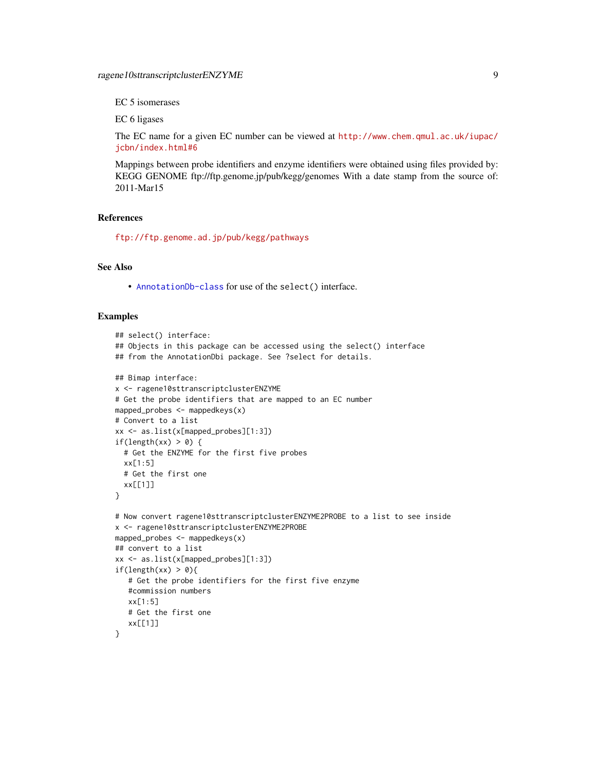EC 5 isomerases

EC 6 ligases

The EC name for a given EC number can be viewed at [http://www.chem.qmul.ac.uk/iupac/](http://www.chem.qmul.ac.uk/iupac/jcbn/index.html#6) [jcbn/index.html#6](http://www.chem.qmul.ac.uk/iupac/jcbn/index.html#6)

Mappings between probe identifiers and enzyme identifiers were obtained using files provided by: KEGG GENOME ftp://ftp.genome.jp/pub/kegg/genomes With a date stamp from the source of: 2011-Mar15

#### References

<ftp://ftp.genome.ad.jp/pub/kegg/pathways>

# See Also

• [AnnotationDb-class](#page-0-0) for use of the select() interface.

```
## select() interface:
## Objects in this package can be accessed using the select() interface
## from the AnnotationDbi package. See ?select for details.
## Bimap interface:
x <- ragene10sttranscriptclusterENZYME
# Get the probe identifiers that are mapped to an EC number
mapped_probes <- mappedkeys(x)
# Convert to a list
xx <- as.list(x[mapped_probes][1:3])
if(length(xx) > 0) {
  # Get the ENZYME for the first five probes
  xx[1:5]
  # Get the first one
  xx[[1]]
}
# Now convert ragene10sttranscriptclusterENZYME2PROBE to a list to see inside
x <- ragene10sttranscriptclusterENZYME2PROBE
mapped_probes <- mappedkeys(x)
## convert to a list
xx <- as.list(x[mapped_probes][1:3])
if(length(xx) > 0){
   # Get the probe identifiers for the first five enzyme
   #commission numbers
   xx[1:5]
   # Get the first one
   xx[[1]]
}
```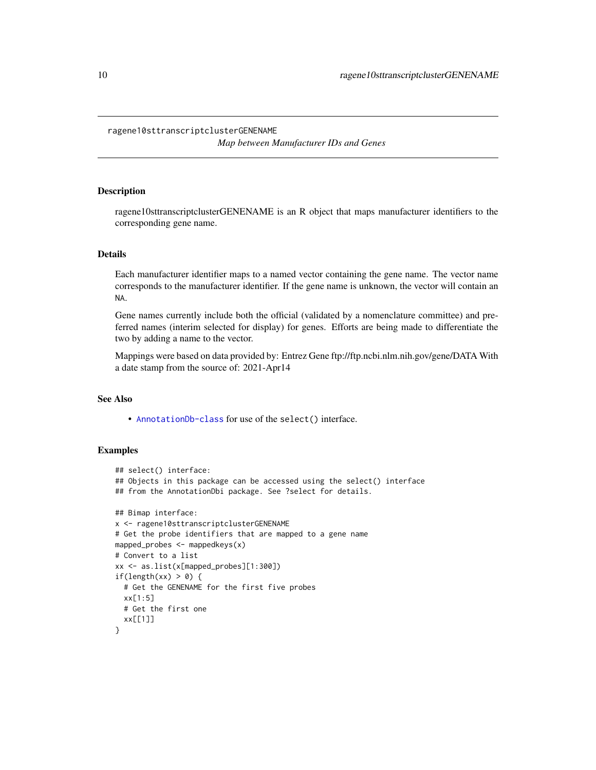#### <span id="page-9-0"></span>ragene10sttranscriptclusterGENENAME

*Map between Manufacturer IDs and Genes*

# Description

ragene10sttranscriptclusterGENENAME is an R object that maps manufacturer identifiers to the corresponding gene name.

#### Details

Each manufacturer identifier maps to a named vector containing the gene name. The vector name corresponds to the manufacturer identifier. If the gene name is unknown, the vector will contain an NA.

Gene names currently include both the official (validated by a nomenclature committee) and preferred names (interim selected for display) for genes. Efforts are being made to differentiate the two by adding a name to the vector.

Mappings were based on data provided by: Entrez Gene ftp://ftp.ncbi.nlm.nih.gov/gene/DATA With a date stamp from the source of: 2021-Apr14

# See Also

• [AnnotationDb-class](#page-0-0) for use of the select() interface.

```
## select() interface:
## Objects in this package can be accessed using the select() interface
## from the AnnotationDbi package. See ?select for details.
## Bimap interface:
x <- ragene10sttranscriptclusterGENENAME
# Get the probe identifiers that are mapped to a gene name
mapped_probes <- mappedkeys(x)
# Convert to a list
xx <- as.list(x[mapped_probes][1:300])
if(length(xx) > 0) {
  # Get the GENENAME for the first five probes
  xx[1:5]
  # Get the first one
  xx[[1]]
}
```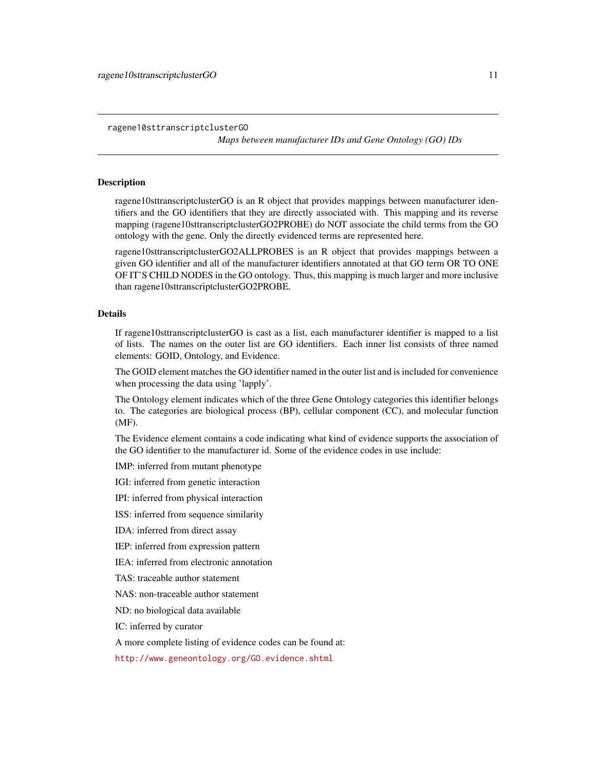<span id="page-10-1"></span>ragene10sttranscriptclusterGO

*Maps between manufacturer IDs and Gene Ontology (GO) IDs*

### <span id="page-10-0"></span>Description

ragene10sttranscriptclusterGO is an R object that provides mappings between manufacturer identifiers and the GO identifiers that they are directly associated with. This mapping and its reverse mapping (ragene10sttranscriptclusterGO2PROBE) do NOT associate the child terms from the GO ontology with the gene. Only the directly evidenced terms are represented here.

ragene10sttranscriptclusterGO2ALLPROBES is an R object that provides mappings between a given GO identifier and all of the manufacturer identifiers annotated at that GO term OR TO ONE OF IT'S CHILD NODES in the GO ontology. Thus, this mapping is much larger and more inclusive than ragene10sttranscriptclusterGO2PROBE.

#### Details

If ragene10sttranscriptclusterGO is cast as a list, each manufacturer identifier is mapped to a list of lists. The names on the outer list are GO identifiers. Each inner list consists of three named elements: GOID, Ontology, and Evidence.

The GOID element matches the GO identifier named in the outer list and is included for convenience when processing the data using 'lapply'.

The Ontology element indicates which of the three Gene Ontology categories this identifier belongs to. The categories are biological process (BP), cellular component (CC), and molecular function (MF).

The Evidence element contains a code indicating what kind of evidence supports the association of the GO identifier to the manufacturer id. Some of the evidence codes in use include:

IMP: inferred from mutant phenotype

IGI: inferred from genetic interaction

IPI: inferred from physical interaction

ISS: inferred from sequence similarity

IDA: inferred from direct assay

IEP: inferred from expression pattern

IEA: inferred from electronic annotation

TAS: traceable author statement

NAS: non-traceable author statement

ND: no biological data available

IC: inferred by curator

A more complete listing of evidence codes can be found at:

<http://www.geneontology.org/GO.evidence.shtml>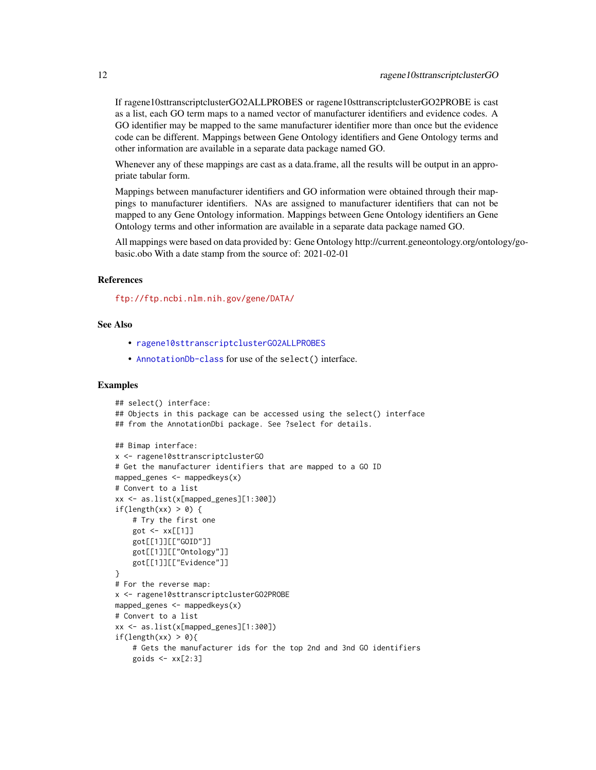<span id="page-11-0"></span>If ragene10sttranscriptclusterGO2ALLPROBES or ragene10sttranscriptclusterGO2PROBE is cast as a list, each GO term maps to a named vector of manufacturer identifiers and evidence codes. A GO identifier may be mapped to the same manufacturer identifier more than once but the evidence code can be different. Mappings between Gene Ontology identifiers and Gene Ontology terms and other information are available in a separate data package named GO.

Whenever any of these mappings are cast as a data.frame, all the results will be output in an appropriate tabular form.

Mappings between manufacturer identifiers and GO information were obtained through their mappings to manufacturer identifiers. NAs are assigned to manufacturer identifiers that can not be mapped to any Gene Ontology information. Mappings between Gene Ontology identifiers an Gene Ontology terms and other information are available in a separate data package named GO.

All mappings were based on data provided by: Gene Ontology http://current.geneontology.org/ontology/gobasic.obo With a date stamp from the source of: 2021-02-01

# References

<ftp://ftp.ncbi.nlm.nih.gov/gene/DATA/>

#### See Also

- [ragene10sttranscriptclusterGO2ALLPROBES](#page-10-0)
- [AnnotationDb-class](#page-0-0) for use of the select() interface.

```
## select() interface:
## Objects in this package can be accessed using the select() interface
## from the AnnotationDbi package. See ?select for details.
## Bimap interface:
x <- ragene10sttranscriptclusterGO
# Get the manufacturer identifiers that are mapped to a GO ID
mapped_genes <- mappedkeys(x)
# Convert to a list
xx <- as.list(x[mapped_genes][1:300])
if(length(xx) > 0) {
    # Try the first one
    got \leftarrow xx[[1]]got[[1]][["GOID"]]
    got[[1]][["Ontology"]]
    got[[1]][["Evidence"]]
}
# For the reverse map:
x <- ragene10sttranscriptclusterGO2PROBE
mapped_genes <- mappedkeys(x)
# Convert to a list
xx <- as.list(x[mapped_genes][1:300])
if(length(xx) > 0){
    # Gets the manufacturer ids for the top 2nd and 3nd GO identifiers
    goids \leq -x \times [2:3]
```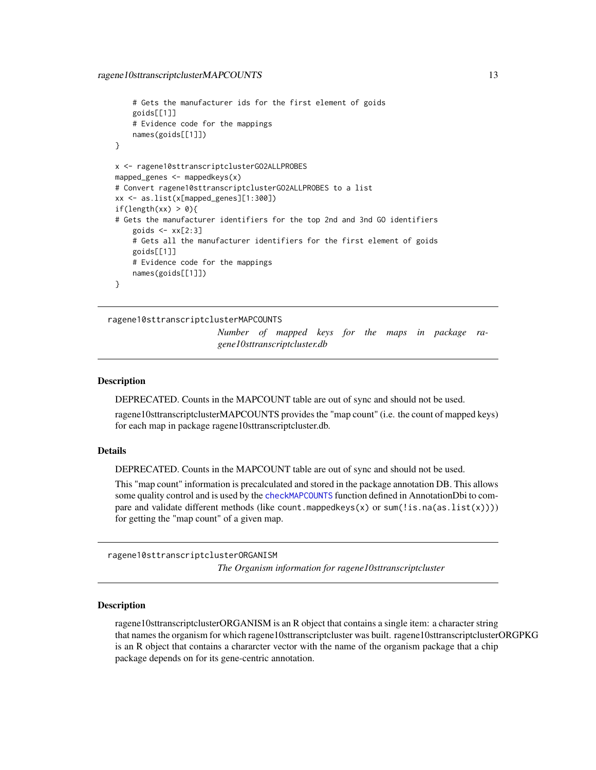```
# Gets the manufacturer ids for the first element of goids
    goids[[1]]
    # Evidence code for the mappings
   names(goids[[1]])
}
x <- ragene10sttranscriptclusterGO2ALLPROBES
mapped_genes <- mappedkeys(x)
# Convert ragene10sttranscriptclusterGO2ALLPROBES to a list
xx <- as.list(x[mapped_genes][1:300])
if(length(xx) > 0){
# Gets the manufacturer identifiers for the top 2nd and 3nd GO identifiers
    goids \leq -x \times [2:3]# Gets all the manufacturer identifiers for the first element of goids
   goids[[1]]
    # Evidence code for the mappings
   names(goids[[1]])
}
```
ragene10sttranscriptclusterMAPCOUNTS

*Number of mapped keys for the maps in package ragene10sttranscriptcluster.db*

#### **Description**

DEPRECATED. Counts in the MAPCOUNT table are out of sync and should not be used.

ragene10sttranscriptclusterMAPCOUNTS provides the "map count" (i.e. the count of mapped keys) for each map in package ragene10sttranscriptcluster.db.

#### Details

DEPRECATED. Counts in the MAPCOUNT table are out of sync and should not be used.

This "map count" information is precalculated and stored in the package annotation DB. This allows some quality control and is used by the [checkMAPCOUNTS](#page-0-0) function defined in AnnotationDbi to compare and validate different methods (like count.mappedkeys $(x)$  or sum(!is.na(as.list(x)))) for getting the "map count" of a given map.

ragene10sttranscriptclusterORGANISM

*The Organism information for ragene10sttranscriptcluster*

#### Description

ragene10sttranscriptclusterORGANISM is an R object that contains a single item: a character string that names the organism for which ragene10sttranscriptcluster was built. ragene10sttranscriptclusterORGPKG is an R object that contains a chararcter vector with the name of the organism package that a chip package depends on for its gene-centric annotation.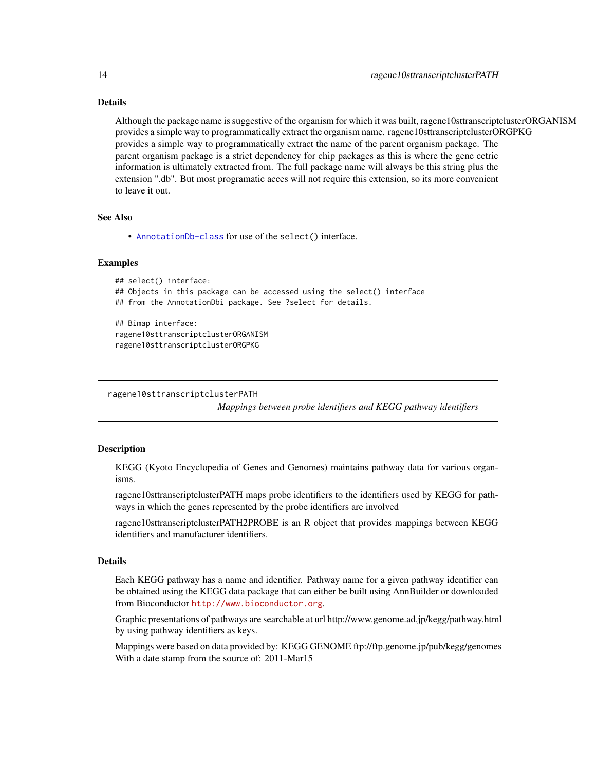# <span id="page-13-0"></span>Details

Although the package name is suggestive of the organism for which it was built, ragene10sttranscriptclusterORGANISM provides a simple way to programmatically extract the organism name. ragene10sttranscriptclusterORGPKG provides a simple way to programmatically extract the name of the parent organism package. The parent organism package is a strict dependency for chip packages as this is where the gene cetric information is ultimately extracted from. The full package name will always be this string plus the extension ".db". But most programatic acces will not require this extension, so its more convenient to leave it out.

#### See Also

• [AnnotationDb-class](#page-0-0) for use of the select() interface.

#### Examples

```
## select() interface:
## Objects in this package can be accessed using the select() interface
## from the AnnotationDbi package. See ?select for details.
## Bimap interface:
ragene10sttranscriptclusterORGANISM
ragene10sttranscriptclusterORGPKG
```
ragene10sttranscriptclusterPATH

*Mappings between probe identifiers and KEGG pathway identifiers*

#### Description

KEGG (Kyoto Encyclopedia of Genes and Genomes) maintains pathway data for various organisms.

ragene10sttranscriptclusterPATH maps probe identifiers to the identifiers used by KEGG for pathways in which the genes represented by the probe identifiers are involved

ragene10sttranscriptclusterPATH2PROBE is an R object that provides mappings between KEGG identifiers and manufacturer identifiers.

# Details

Each KEGG pathway has a name and identifier. Pathway name for a given pathway identifier can be obtained using the KEGG data package that can either be built using AnnBuilder or downloaded from Bioconductor <http://www.bioconductor.org>.

Graphic presentations of pathways are searchable at url http://www.genome.ad.jp/kegg/pathway.html by using pathway identifiers as keys.

Mappings were based on data provided by: KEGG GENOME ftp://ftp.genome.jp/pub/kegg/genomes With a date stamp from the source of: 2011-Mar15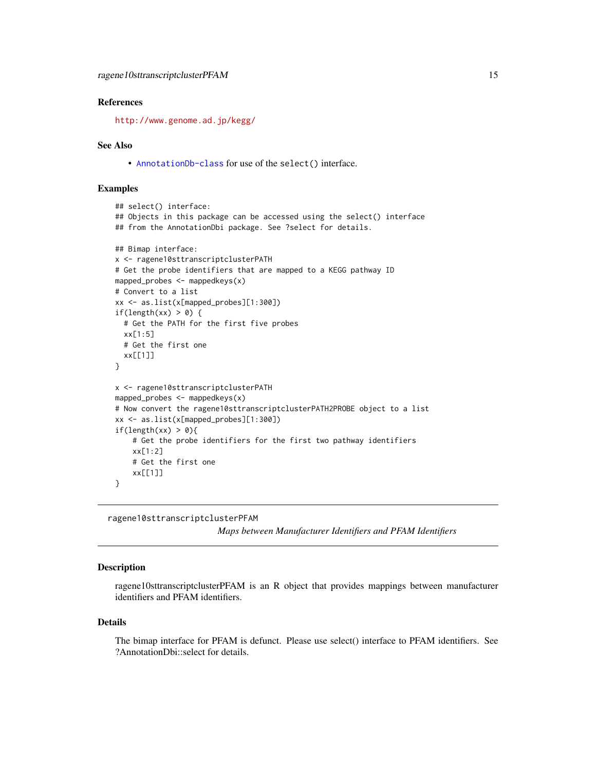## <span id="page-14-0"></span>References

<http://www.genome.ad.jp/kegg/>

#### See Also

• [AnnotationDb-class](#page-0-0) for use of the select() interface.

### Examples

```
## select() interface:
## Objects in this package can be accessed using the select() interface
## from the AnnotationDbi package. See ?select for details.
## Bimap interface:
x <- ragene10sttranscriptclusterPATH
# Get the probe identifiers that are mapped to a KEGG pathway ID
mapped_probes <- mappedkeys(x)
# Convert to a list
xx <- as.list(x[mapped_probes][1:300])
if(length(xx) > 0) {
  # Get the PATH for the first five probes
  xx[1:5]
  # Get the first one
  xx[[1]]
}
x <- ragene10sttranscriptclusterPATH
mapped_probes <- mappedkeys(x)
# Now convert the ragene10sttranscriptclusterPATH2PROBE object to a list
xx <- as.list(x[mapped_probes][1:300])
if(length(xx) > 0){
    # Get the probe identifiers for the first two pathway identifiers
    xx[1:2]
    # Get the first one
    xx[[1]]
}
```
ragene10sttranscriptclusterPFAM

*Maps between Manufacturer Identifiers and PFAM Identifiers*

#### **Description**

ragene10sttranscriptclusterPFAM is an R object that provides mappings between manufacturer identifiers and PFAM identifiers.

#### Details

The bimap interface for PFAM is defunct. Please use select() interface to PFAM identifiers. See ?AnnotationDbi::select for details.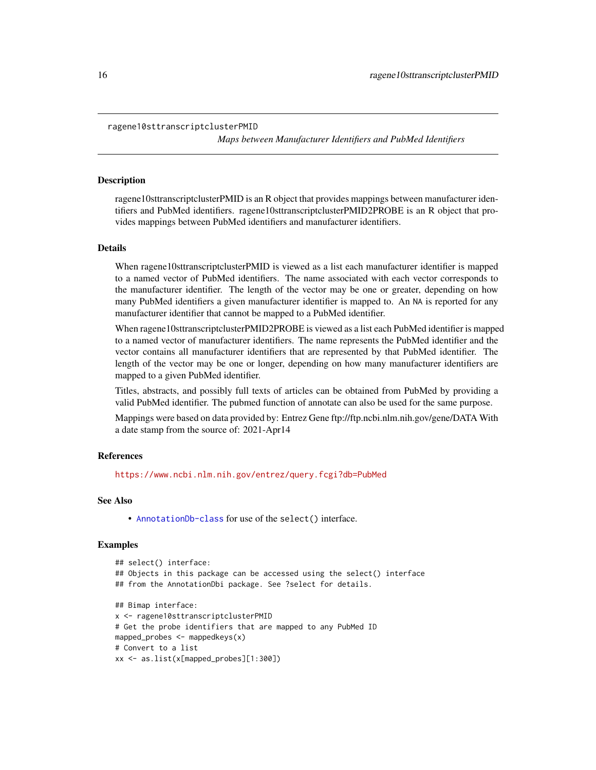```
ragene10sttranscriptclusterPMID
```
*Maps between Manufacturer Identifiers and PubMed Identifiers*

#### **Description**

ragene10sttranscriptclusterPMID is an R object that provides mappings between manufacturer identifiers and PubMed identifiers. ragene10sttranscriptclusterPMID2PROBE is an R object that provides mappings between PubMed identifiers and manufacturer identifiers.

#### Details

When ragene10sttranscriptclusterPMID is viewed as a list each manufacturer identifier is mapped to a named vector of PubMed identifiers. The name associated with each vector corresponds to the manufacturer identifier. The length of the vector may be one or greater, depending on how many PubMed identifiers a given manufacturer identifier is mapped to. An NA is reported for any manufacturer identifier that cannot be mapped to a PubMed identifier.

When ragene10sttranscriptclusterPMID2PROBE is viewed as a list each PubMed identifier is mapped to a named vector of manufacturer identifiers. The name represents the PubMed identifier and the vector contains all manufacturer identifiers that are represented by that PubMed identifier. The length of the vector may be one or longer, depending on how many manufacturer identifiers are mapped to a given PubMed identifier.

Titles, abstracts, and possibly full texts of articles can be obtained from PubMed by providing a valid PubMed identifier. The pubmed function of annotate can also be used for the same purpose.

Mappings were based on data provided by: Entrez Gene ftp://ftp.ncbi.nlm.nih.gov/gene/DATA With a date stamp from the source of: 2021-Apr14

#### References

<https://www.ncbi.nlm.nih.gov/entrez/query.fcgi?db=PubMed>

#### See Also

• [AnnotationDb-class](#page-0-0) for use of the select() interface.

```
## select() interface:
## Objects in this package can be accessed using the select() interface
## from the AnnotationDbi package. See ?select for details.
## Bimap interface:
x <- ragene10sttranscriptclusterPMID
# Get the probe identifiers that are mapped to any PubMed ID
mapped_probes <- mappedkeys(x)
# Convert to a list
xx <- as.list(x[mapped_probes][1:300])
```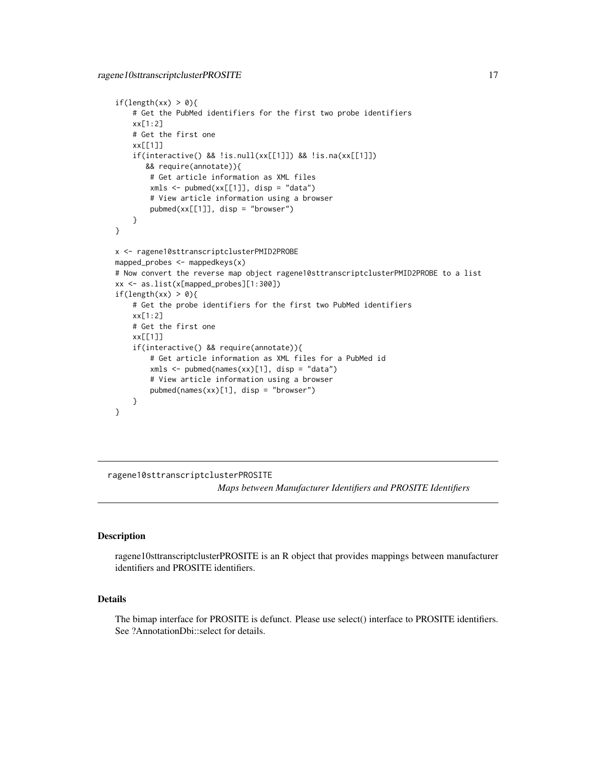```
if(length(xx) > 0){
    # Get the PubMed identifiers for the first two probe identifiers
   xx[1:2]
   # Get the first one
   xx[[1]]
    if(interactive() && !is.null(xx[[1]]) && !is.na(xx[[1]])
      && require(annotate)){
       # Get article information as XML files
       xmls < -pubmed(xx[[1]], disp = "data")# View article information using a browser
       pubmed(xx[[1]], disp = "browser")
    }
}
x <- ragene10sttranscriptclusterPMID2PROBE
mapped_probes <- mappedkeys(x)
# Now convert the reverse map object ragene10sttranscriptclusterPMID2PROBE to a list
xx <- as.list(x[mapped_probes][1:300])
if(length(xx) > 0){
    # Get the probe identifiers for the first two PubMed identifiers
   xx[1:2]
    # Get the first one
   xx[[1]]
    if(interactive() && require(annotate)){
       # Get article information as XML files for a PubMed id
       xmls <- pubmed(names(xx)[1], disp = "data")
       # View article information using a browser
       pubmed(names(xx)[1], disp = "browser")
   }
}
```
ragene10sttranscriptclusterPROSITE

*Maps between Manufacturer Identifiers and PROSITE Identifiers*

#### **Description**

ragene10sttranscriptclusterPROSITE is an R object that provides mappings between manufacturer identifiers and PROSITE identifiers.

## Details

The bimap interface for PROSITE is defunct. Please use select() interface to PROSITE identifiers. See ?AnnotationDbi::select for details.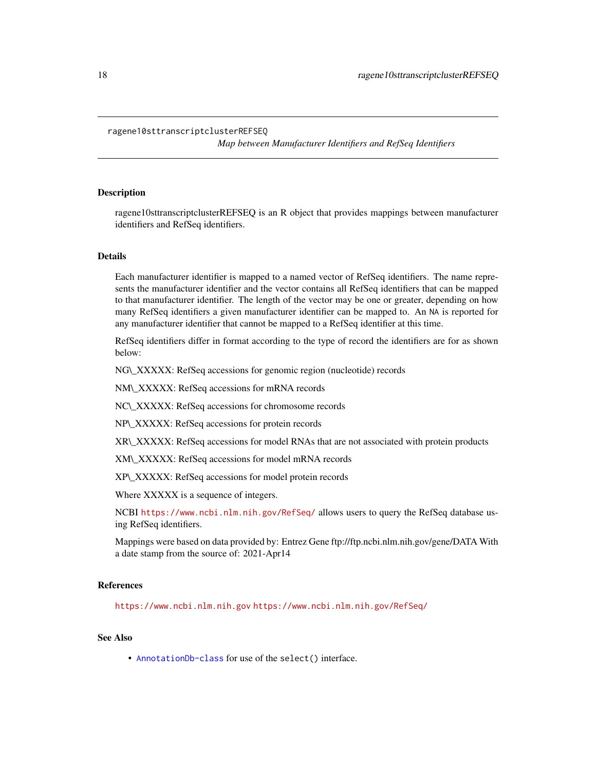#### <span id="page-17-0"></span>ragene10sttranscriptclusterREFSEQ

*Map between Manufacturer Identifiers and RefSeq Identifiers*

# Description

ragene10sttranscriptclusterREFSEQ is an R object that provides mappings between manufacturer identifiers and RefSeq identifiers.

## Details

Each manufacturer identifier is mapped to a named vector of RefSeq identifiers. The name represents the manufacturer identifier and the vector contains all RefSeq identifiers that can be mapped to that manufacturer identifier. The length of the vector may be one or greater, depending on how many RefSeq identifiers a given manufacturer identifier can be mapped to. An NA is reported for any manufacturer identifier that cannot be mapped to a RefSeq identifier at this time.

RefSeq identifiers differ in format according to the type of record the identifiers are for as shown below:

NG\\_XXXXX: RefSeq accessions for genomic region (nucleotide) records

NM\\_XXXXX: RefSeq accessions for mRNA records

NC\\_XXXXX: RefSeq accessions for chromosome records

NP\\_XXXXX: RefSeq accessions for protein records

XR\\_XXXXX: RefSeq accessions for model RNAs that are not associated with protein products

XM\\_XXXXX: RefSeq accessions for model mRNA records

XP\\_XXXXX: RefSeq accessions for model protein records

Where XXXXX is a sequence of integers.

NCBI <https://www.ncbi.nlm.nih.gov/RefSeq/> allows users to query the RefSeq database using RefSeq identifiers.

Mappings were based on data provided by: Entrez Gene ftp://ftp.ncbi.nlm.nih.gov/gene/DATA With a date stamp from the source of: 2021-Apr14

# References

<https://www.ncbi.nlm.nih.gov> <https://www.ncbi.nlm.nih.gov/RefSeq/>

# See Also

• [AnnotationDb-class](#page-0-0) for use of the select() interface.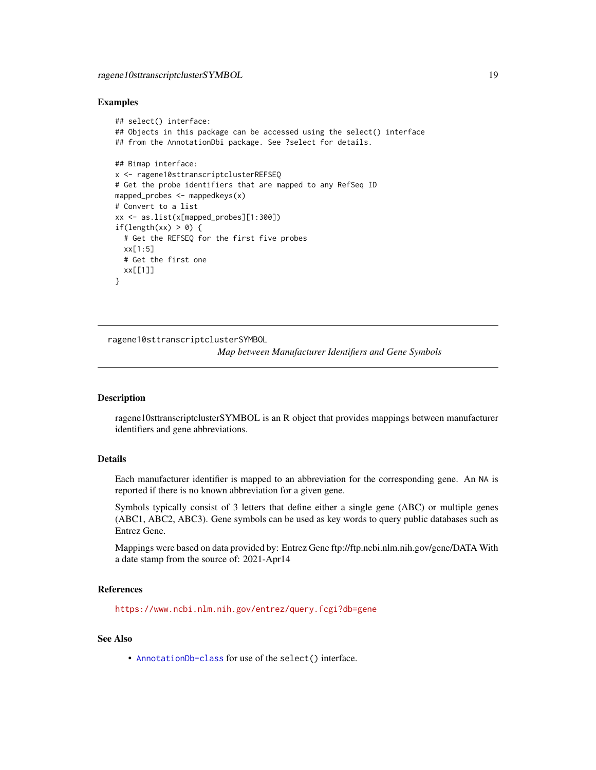#### <span id="page-18-0"></span>Examples

```
## select() interface:
## Objects in this package can be accessed using the select() interface
## from the AnnotationDbi package. See ?select for details.
## Bimap interface:
x <- ragene10sttranscriptclusterREFSEQ
# Get the probe identifiers that are mapped to any RefSeq ID
mapped_probes <- mappedkeys(x)
# Convert to a list
xx <- as.list(x[mapped_probes][1:300])
if(length(xx) > 0) {
  # Get the REFSEQ for the first five probes
  xx[1:5]
  # Get the first one
  xx[[1]]
}
```
ragene10sttranscriptclusterSYMBOL

*Map between Manufacturer Identifiers and Gene Symbols*

#### Description

ragene10sttranscriptclusterSYMBOL is an R object that provides mappings between manufacturer identifiers and gene abbreviations.

# Details

Each manufacturer identifier is mapped to an abbreviation for the corresponding gene. An NA is reported if there is no known abbreviation for a given gene.

Symbols typically consist of 3 letters that define either a single gene (ABC) or multiple genes (ABC1, ABC2, ABC3). Gene symbols can be used as key words to query public databases such as Entrez Gene.

Mappings were based on data provided by: Entrez Gene ftp://ftp.ncbi.nlm.nih.gov/gene/DATA With a date stamp from the source of: 2021-Apr14

# References

<https://www.ncbi.nlm.nih.gov/entrez/query.fcgi?db=gene>

#### See Also

• [AnnotationDb-class](#page-0-0) for use of the select() interface.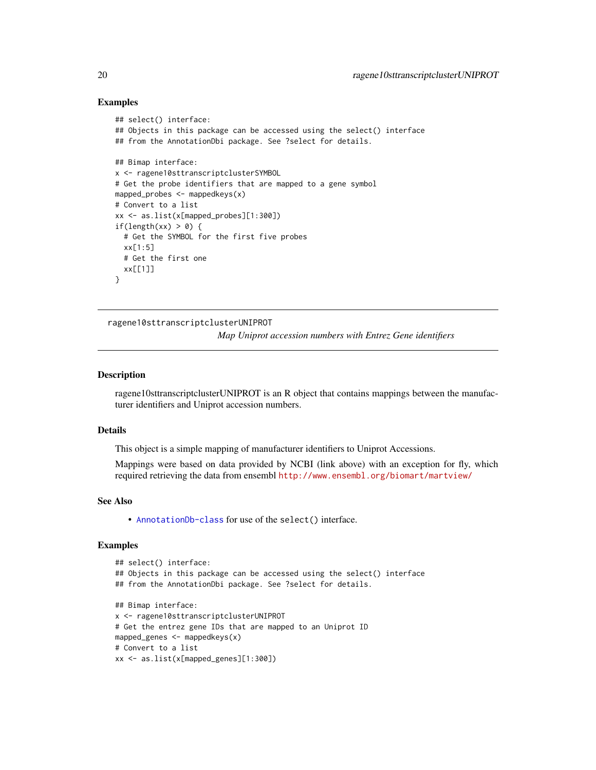#### Examples

```
## select() interface:
## Objects in this package can be accessed using the select() interface
## from the AnnotationDbi package. See ?select for details.
## Bimap interface:
x <- ragene10sttranscriptclusterSYMBOL
# Get the probe identifiers that are mapped to a gene symbol
mapped_probes <- mappedkeys(x)
# Convert to a list
xx <- as.list(x[mapped_probes][1:300])
if(length(xx) > 0) {
  # Get the SYMBOL for the first five probes
  xx[1:5]
  # Get the first one
  xx[[1]]
}
```
ragene10sttranscriptclusterUNIPROT

*Map Uniprot accession numbers with Entrez Gene identifiers*

# **Description**

ragene10sttranscriptclusterUNIPROT is an R object that contains mappings between the manufacturer identifiers and Uniprot accession numbers.

#### Details

This object is a simple mapping of manufacturer identifiers to Uniprot Accessions.

Mappings were based on data provided by NCBI (link above) with an exception for fly, which required retrieving the data from ensembl <http://www.ensembl.org/biomart/martview/>

#### See Also

• [AnnotationDb-class](#page-0-0) for use of the select() interface.

```
## select() interface:
## Objects in this package can be accessed using the select() interface
## from the AnnotationDbi package. See ?select for details.
## Bimap interface:
x <- ragene10sttranscriptclusterUNIPROT
# Get the entrez gene IDs that are mapped to an Uniprot ID
mapped_genes <- mappedkeys(x)
# Convert to a list
xx <- as.list(x[mapped_genes][1:300])
```
<span id="page-19-0"></span>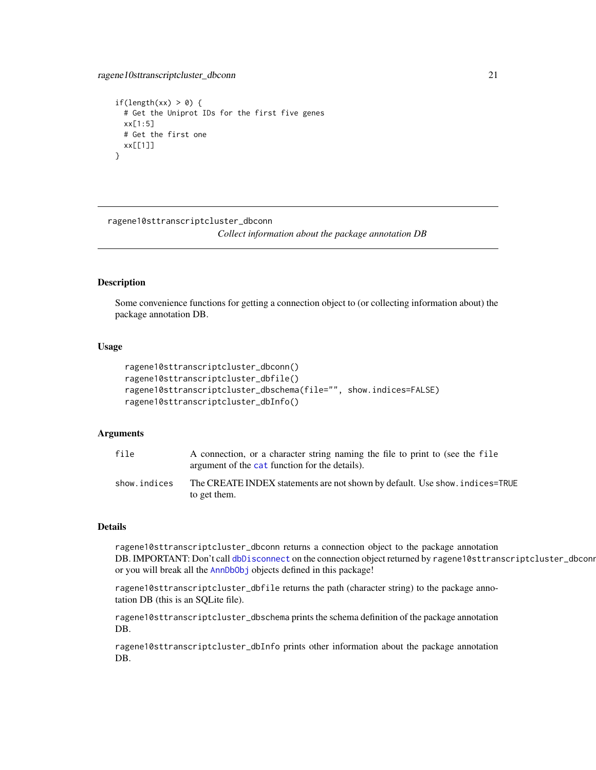```
if(length(xx) > 0) {
 # Get the Uniprot IDs for the first five genes
 xx[1:5]
 # Get the first one
 xx[[1]]
}
```
ragene10sttranscriptcluster\_dbconn

*Collect information about the package annotation DB*

# Description

Some convenience functions for getting a connection object to (or collecting information about) the package annotation DB.

#### Usage

```
ragene10sttranscriptcluster_dbconn()
ragene10sttranscriptcluster_dbfile()
ragene10sttranscriptcluster_dbschema(file="", show.indices=FALSE)
ragene10sttranscriptcluster_dbInfo()
```
# Arguments

| file         | A connection, or a character string naming the file to print to (see the file<br>argument of the cat function for the details). |
|--------------|---------------------------------------------------------------------------------------------------------------------------------|
| show.indices | The CREATE INDEX statements are not shown by default. Use show, indices=TRUE<br>to get them.                                    |

#### Details

ragene10sttranscriptcluster\_dbconn returns a connection object to the package annotation DB. IMPORTANT: Don't call [dbDisconnect](#page-0-0) on the connection object returned by ragene10sttranscriptcluster\_dbconn or you will break all the [AnnDbObj](#page-0-0) objects defined in this package!

ragene10sttranscriptcluster\_dbfile returns the path (character string) to the package annotation DB (this is an SQLite file).

ragene10sttranscriptcluster\_dbschema prints the schema definition of the package annotation DB.

ragene10sttranscriptcluster\_dbInfo prints other information about the package annotation DB.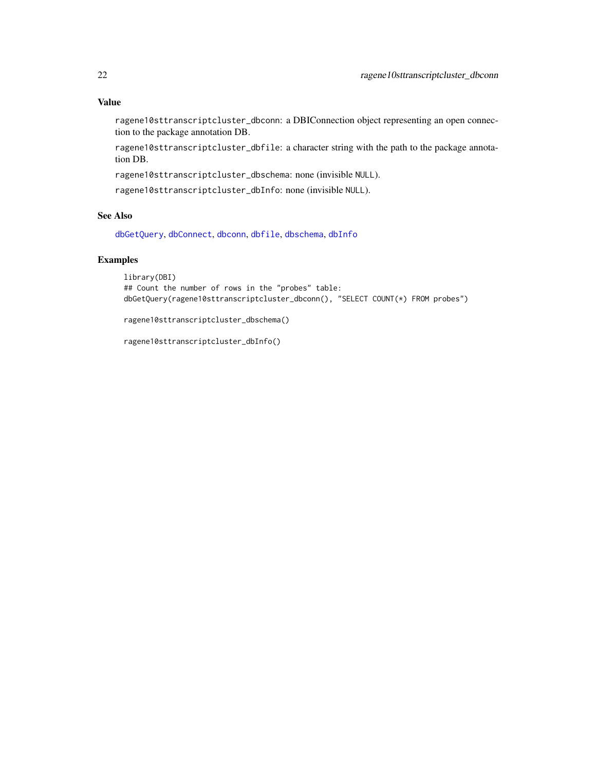# <span id="page-21-0"></span>Value

ragene10sttranscriptcluster\_dbconn: a DBIConnection object representing an open connection to the package annotation DB.

ragene10sttranscriptcluster\_dbfile: a character string with the path to the package annotation DB.

ragene10sttranscriptcluster\_dbschema: none (invisible NULL).

ragene10sttranscriptcluster\_dbInfo: none (invisible NULL).

# See Also

[dbGetQuery](#page-0-0), [dbConnect](#page-0-0), [dbconn](#page-0-0), [dbfile](#page-0-0), [dbschema](#page-0-0), [dbInfo](#page-0-0)

# Examples

```
library(DBI)
## Count the number of rows in the "probes" table:
dbGetQuery(ragene10sttranscriptcluster_dbconn(), "SELECT COUNT(*) FROM probes")
```
ragene10sttranscriptcluster\_dbschema()

ragene10sttranscriptcluster\_dbInfo()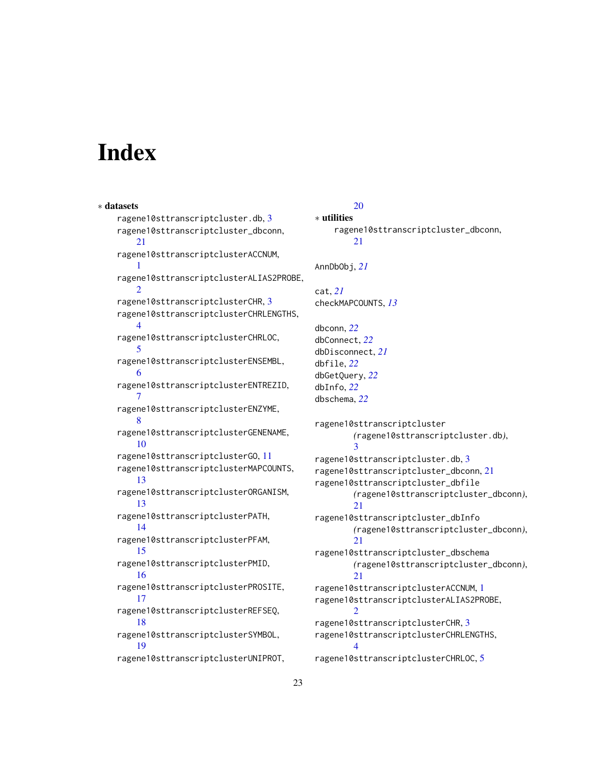# **Index**

∗ datasets ragene10sttranscriptcluster.db, [3](#page-2-0) ragene10sttranscriptcluster\_dbconn, [21](#page-20-0) ragene10sttranscriptclusterACCNUM, [1](#page-0-1) ragene10sttranscriptclusterALIAS2PROBE,  $\mathcal{D}$ ragene10sttranscriptclusterCHR, [3](#page-2-0) ragene10sttranscriptclusterCHRLENGTHS, [4](#page-3-0) ragene10sttranscriptclusterCHRLOC, [5](#page-4-0) ragene10sttranscriptclusterENSEMBL, [6](#page-5-0) ragene10sttranscriptclusterENTREZID, [7](#page-6-0) ragene10sttranscriptclusterENZYME, [8](#page-7-0) ragene10sttranscriptclusterGENENAME, [10](#page-9-0) ragene10sttranscriptclusterGO, [11](#page-10-1) ragene10sttranscriptclusterMAPCOUNTS, [13](#page-12-0) ragene10sttranscriptclusterORGANISM, [13](#page-12-0) ragene10sttranscriptclusterPATH, [14](#page-13-0) ragene10sttranscriptclusterPFAM, [15](#page-14-0) ragene10sttranscriptclusterPMID, [16](#page-15-0) ragene10sttranscriptclusterPROSITE, [17](#page-16-0) ragene10sttranscriptclusterREFSEQ, [18](#page-17-0) ragene10sttranscriptclusterSYMBOL, [19](#page-18-0) ragene10sttranscriptclusterUNIPROT,

# [20](#page-19-0)

```
∗ utilities
    ragene10sttranscriptcluster_dbconn,
        21
AnnDbObj, 21
cat, 21
checkMAPCOUNTS, 13
dbconn, 22
dbConnect, 22
dbDisconnect, 21
dbfile, 22
dbGetQuery, 22
dbInfo, 22
dbschema, 22
ragene10sttranscriptcluster
        (ragene10sttranscriptcluster.db),
        3
ragene10sttranscriptcluster.db, 3
ragene10sttranscriptcluster_dbconn, 21
ragene10sttranscriptcluster_dbfile
        (ragene10sttranscriptcluster_dbconn),
        21
ragene10sttranscriptcluster_dbInfo
        (ragene10sttranscriptcluster_dbconn),
        21
ragene10sttranscriptcluster_dbschema
        (ragene10sttranscriptcluster_dbconn),
        21ragene10sttranscriptclusterACCNUM, 1
ragene10sttranscriptclusterALIAS2PROBE,
        2
ragene10sttranscriptclusterCHR, 3
ragene10sttranscriptclusterCHRLENGTHS,
        4
ragene10sttranscriptclusterCHRLOC, 5
```